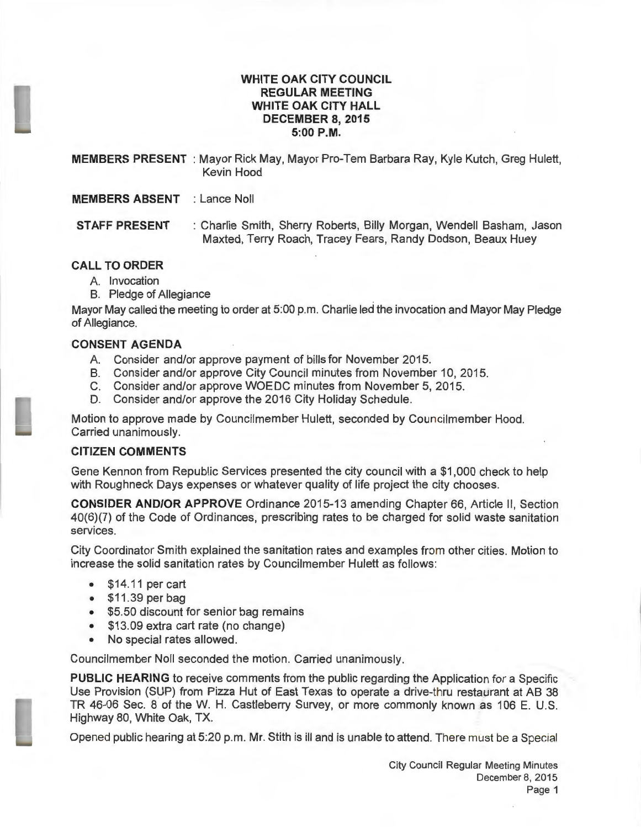#### **WHITE OAK CITY COUNCIL REGULAR MEETING WHITE OAK CITY HALL DECEMBER 8, 2015 5:00P.M.**

**MEMBERS PRESENT** : Mayor Rick May, Mayor Pro-Tem Barbara Ray, Kyle Kutch, Greg Hulett, Kevin Hood

**MEMBERS ABSENT** : Lance Noll

**STAFF PRESENT** : Charlie Smith, Sherry Roberts, Billy Morgan, Wendell Basham, Jason Maxted, Terry Roach, Tracey Fears, Randy Dodson, Beaux Huey

# **CALL TO ORDER**

- A. Invocation
- B. Pledge of Allegiance

Mayor May called the meeting to order at 5:00 p.m. Charlie led the invocation and Mayor May Pledge of Allegiance.

# **CONSENT AGENDA**

- A. Consider and/or approve payment of bills for November 2015.
- B. Consider and/or approve City Council minutes from November 10, 2015.
- C. Consider and/or approve WOE DC minutes from November 5, 2015.
- D. Consider and/or approve the 2016 City Holiday Schedule.

Motion to approve made by Councilmember Hulett, seconded by Councilmember Hood. Carried unanimously.

# **CITIZEN COMMENTS**

Gene Kennon from Republic Services presented the city council with a \$1 ,000 check to help with Roughneck Days expenses or whatever quality of life project the city chooses .

**CONSIDER AND/OR APPROVE** Ordinance 2015-13 amending Chapter 66, Article II , Section 40(6)(7) of the Code of Ordinances, prescribing rates to be charged for solid waste sanitation services.

City Coordinator Smith explained the sanitation rates and examples from other cities. Motion to increase the solid sanitation rates by Councilmember Hulett as follows:

- \$14.11 percart
- \$11 .39 per bag
- \$5.50 discount for senior bag remains
- \$13.09 extra cart rate (no change)
- No special rates allowed.

Councilmember Noll seconded the motion. Carried unanimously.

**PUBLIC HEARING** to receive comments from the public regarding the Application for a Specific Use Provision (SUP) from Pizza Hut of East Texas to operate a drive-thru restaurant at AB 38 TR 46-06 Sec. 8 of the W. H. Castleberry Survey, or more commonly known as 106 E. U.S. Highway 80, White Oak, TX.

Openecl public hearing at 5:20 p.m. Mr. Stith is ill and is unable to attend. There must be a Special